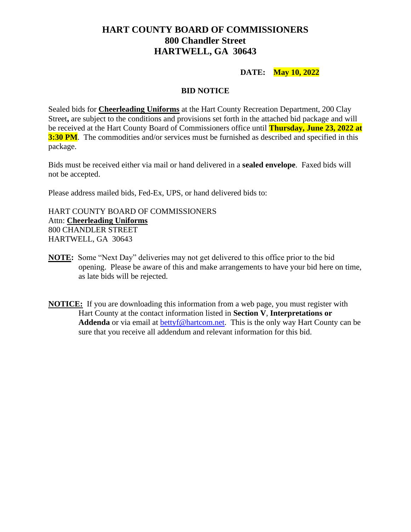# **HART COUNTY BOARD OF COMMISSIONERS 800 Chandler Street HARTWELL, GA 30643**

#### **DATE: May 10, 2022**

#### **BID NOTICE**

Sealed bids for **Cheerleading Uniforms** at the Hart County Recreation Department, 200 Clay Street**,** are subject to the conditions and provisions set forth in the attached bid package and will be received at the Hart County Board of Commissioners office until **Thursday, June 23, 2022 at 3:30 PM**. The commodities and/or services must be furnished as described and specified in this package.

Bids must be received either via mail or hand delivered in a **sealed envelope**. Faxed bids will not be accepted.

Please address mailed bids, Fed-Ex, UPS, or hand delivered bids to:

HART COUNTY BOARD OF COMMISSIONERS Attn: **Cheerleading Uniforms** 800 CHANDLER STREET HARTWELL, GA 30643

- **NOTE:** Some "Next Day" deliveries may not get delivered to this office prior to the bid opening. Please be aware of this and make arrangements to have your bid here on time, as late bids will be rejected.
- **NOTICE:** If you are downloading this information from a web page, you must register with Hart County at the contact information listed in **Section V**, **Interpretations or**  Addenda or via email at [bettyf@hartcom.net.](mailto:bettyf@hartcom.net) This is the only way Hart County can be sure that you receive all addendum and relevant information for this bid.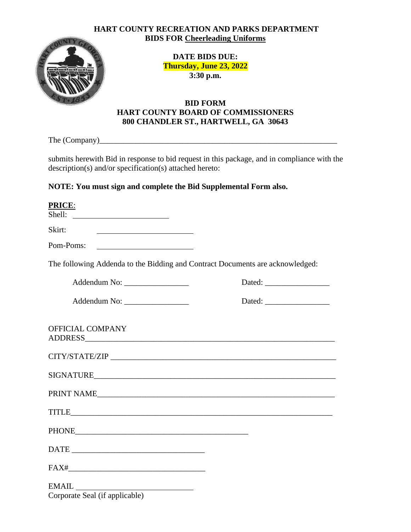#### **HART COUNTY RECREATION AND PARKS DEPARTMENT BIDS FOR Cheerleading Uniforms**



**DATE BIDS DUE: Thursday, June 23, 2022 3:30 p.m.**

# **BID FORM HART COUNTY BOARD OF COMMISSIONERS 800 CHANDLER ST., HARTWELL, GA 30643**

The (Company)\_\_\_\_\_\_\_\_\_\_\_\_\_\_\_\_\_\_\_\_\_\_\_\_\_\_\_\_\_\_\_\_\_\_\_\_\_\_\_\_\_\_\_\_\_\_\_\_\_\_\_\_\_\_\_\_\_\_\_

submits herewith Bid in response to bid request in this package, and in compliance with the description(s) and/or specification(s) attached hereto:

# **NOTE: You must sign and complete the Bid Supplemental Form also.**

| PRICE:                                                                        |  |
|-------------------------------------------------------------------------------|--|
| Shell:<br><u> 1980 - Johann Barbara, martin amerikan ba</u>                   |  |
| Skirt:                                                                        |  |
| Pom-Poms:                                                                     |  |
| The following Addenda to the Bidding and Contract Documents are acknowledged: |  |
|                                                                               |  |
|                                                                               |  |
| <b>OFFICIAL COMPANY</b>                                                       |  |
|                                                                               |  |
| SIGNATURE                                                                     |  |
| PRINT NAME                                                                    |  |
|                                                                               |  |
| PHONE PHONE                                                                   |  |
|                                                                               |  |
| $FAX# \qquad \qquad 1$                                                        |  |
|                                                                               |  |
| Corporate Seal (if applicable)                                                |  |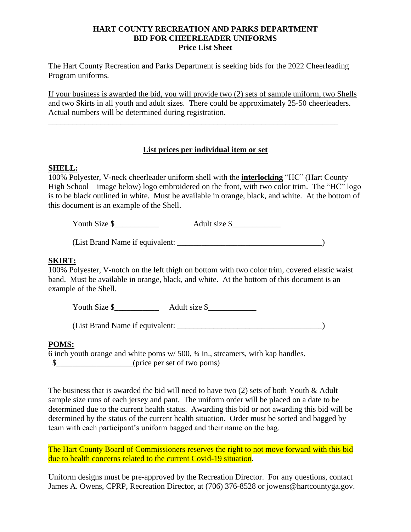#### **HART COUNTY RECREATION AND PARKS DEPARTMENT BID FOR CHEERLEADER UNIFORMS Price List Sheet**

The Hart County Recreation and Parks Department is seeking bids for the 2022 Cheerleading Program uniforms.

If your business is awarded the bid, you will provide two (2) sets of sample uniform, two Shells and two Skirts in all youth and adult sizes. There could be approximately 25-50 cheerleaders. Actual numbers will be determined during registration.

\_\_\_\_\_\_\_\_\_\_\_\_\_\_\_\_\_\_\_\_\_\_\_\_\_\_\_\_\_\_\_\_\_\_\_\_\_\_\_\_\_\_\_\_\_\_\_\_\_\_\_\_\_\_\_\_\_\_\_\_\_\_\_\_\_\_\_\_\_\_\_\_

# **List prices per individual item or set**

#### **SHELL:**

100% Polyester, V-neck cheerleader uniform shell with the **interlocking** "HC" (Hart County High School – image below) logo embroidered on the front, with two color trim. The "HC" logo is to be black outlined in white. Must be available in orange, black, and white. At the bottom of this document is an example of the Shell.

Youth Size  $\frac{1}{2}$  Adult size  $\frac{1}{2}$ 

(List Brand Name if equivalent: \_\_\_\_\_\_\_\_\_\_\_\_\_\_\_\_\_\_\_\_\_\_\_\_\_\_\_\_\_\_\_\_\_\_\_\_)

# **SKIRT:**

100% Polyester, V-notch on the left thigh on bottom with two color trim, covered elastic waist band. Must be available in orange, black, and white. At the bottom of this document is an example of the Shell.

Youth Size  $\frac{1}{2}$  Adult size  $\frac{1}{2}$ 

(List Brand Name if equivalent:  $\qquad \qquad$ )

#### **POMS:**

6 inch youth orange and white poms w/ 500, ¾ in., streamers, with kap handles. \$ (price per set of two poms)

The business that is awarded the bid will need to have two (2) sets of both Youth & Adult sample size runs of each jersey and pant. The uniform order will be placed on a date to be determined due to the current health status. Awarding this bid or not awarding this bid will be determined by the status of the current health situation. Order must be sorted and bagged by team with each participant's uniform bagged and their name on the bag.

The Hart County Board of Commissioners reserves the right to not move forward with this bid due to health concerns related to the current Covid-19 situation.

Uniform designs must be pre-approved by the Recreation Director. For any questions, contact James A. Owens, CPRP, Recreation Director, at (706) 376-8528 or jowens@hartcountyga.gov.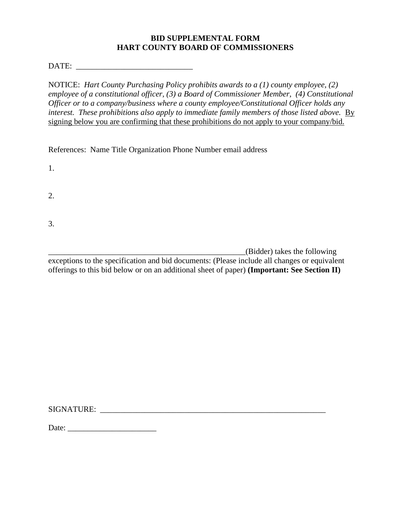# **BID SUPPLEMENTAL FORM HART COUNTY BOARD OF COMMISSIONERS**

DATE: \_\_\_\_\_\_\_\_\_\_\_\_\_\_\_\_\_\_\_\_\_\_\_\_\_\_\_\_\_

NOTICE: *Hart County Purchasing Policy prohibits awards to a (1) county employee, (2) employee of a constitutional officer, (3) a Board of Commissioner Member, (4) Constitutional Officer or to a company/business where a county employee/Constitutional Officer holds any interest. These prohibitions also apply to immediate family members of those listed above.* By signing below you are confirming that these prohibitions do not apply to your company/bid.

References: Name Title Organization Phone Number email address

1.

2.

3.

\_\_\_\_\_\_\_\_\_\_\_\_\_\_\_\_\_\_\_\_\_\_\_\_\_\_\_\_\_\_\_\_\_\_\_\_\_\_\_\_\_\_\_\_\_\_\_\_\_(Bidder) takes the following

exceptions to the specification and bid documents: (Please include all changes or equivalent offerings to this bid below or on an additional sheet of paper) **(Important: See Section II)**

SIGNATURE:

Date: \_\_\_\_\_\_\_\_\_\_\_\_\_\_\_\_\_\_\_\_\_\_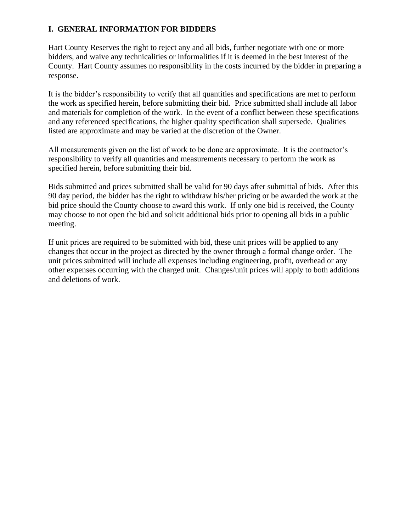# **I. GENERAL INFORMATION FOR BIDDERS**

Hart County Reserves the right to reject any and all bids, further negotiate with one or more bidders, and waive any technicalities or informalities if it is deemed in the best interest of the County. Hart County assumes no responsibility in the costs incurred by the bidder in preparing a response.

It is the bidder's responsibility to verify that all quantities and specifications are met to perform the work as specified herein, before submitting their bid. Price submitted shall include all labor and materials for completion of the work. In the event of a conflict between these specifications and any referenced specifications, the higher quality specification shall supersede. Qualities listed are approximate and may be varied at the discretion of the Owner.

All measurements given on the list of work to be done are approximate. It is the contractor's responsibility to verify all quantities and measurements necessary to perform the work as specified herein, before submitting their bid.

Bids submitted and prices submitted shall be valid for 90 days after submittal of bids. After this 90 day period, the bidder has the right to withdraw his/her pricing or be awarded the work at the bid price should the County choose to award this work. If only one bid is received, the County may choose to not open the bid and solicit additional bids prior to opening all bids in a public meeting.

If unit prices are required to be submitted with bid, these unit prices will be applied to any changes that occur in the project as directed by the owner through a formal change order. The unit prices submitted will include all expenses including engineering, profit, overhead or any other expenses occurring with the charged unit. Changes/unit prices will apply to both additions and deletions of work.